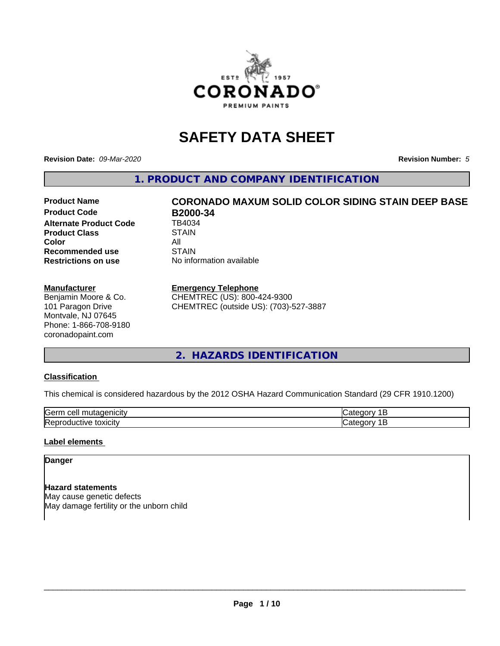

# **SAFETY DATA SHEET**

**Revision Date:** *09-Mar-2020* **Revision Number:** *5*

**1. PRODUCT AND COMPANY IDENTIFICATION**

# **Product Name CORONADO MAXUM SOLID COLOR SIDING STAIN DEEP BASE**

**Product Code B2000-34**<br>Alternate Product Code **B4034 Alternate Product Code Product Class STAIN Color** All All<br>**Recommended use** STAIN **Recommended use Restrictions on use** No information available

## **Manufacturer**

Benjamin Moore & Co. 101 Paragon Drive Montvale, NJ 07645 Phone: 1-866-708-9180 coronadopaint.com

# **Emergency Telephone**

CHEMTREC (US): 800-424-9300 CHEMTREC (outside US): (703)-527-3887

**2. HAZARDS IDENTIFICATION**

# **Classification**

This chemical is considered hazardous by the 2012 OSHA Hazard Communication Standard (29 CFR 1910.1200)

| -<br>$A + A$<br>eυ<br>ш |  |
|-------------------------|--|
| .<br>- -<br>ʻICL<br>-   |  |

# **Label elements**

# **Danger**

**Hazard statements** May cause genetic defects May damage fertility or the unborn child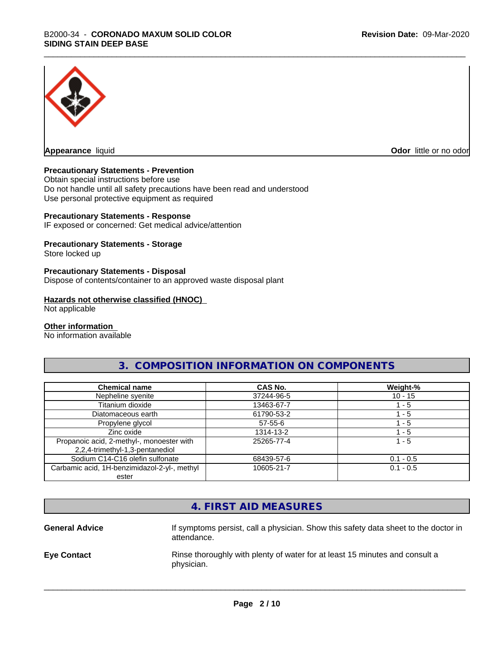

**Appearance** liquid **Odor in the original of the original of the original of the original of the original of the original of the original of the original of the original of the original of the original of the original of t** 

# **Precautionary Statements - Prevention**

Obtain special instructions before use Do not handle until all safety precautions have been read and understood Use personal protective equipment as required

## **Precautionary Statements - Response**

IF exposed or concerned: Get medical advice/attention

# **Precautionary Statements - Storage**

Store locked up

# **Precautionary Statements - Disposal**

Dispose of contents/container to an approved waste disposal plant

#### **Hazards not otherwise classified (HNOC)**

Not applicable

#### **Other information**

No information available

# **3. COMPOSITION INFORMATION ON COMPONENTS**

| <b>Chemical name</b>                                                         | CAS No.       | Weight-%    |
|------------------------------------------------------------------------------|---------------|-------------|
| Nepheline syenite                                                            | 37244-96-5    | $10 - 15$   |
| Titanium dioxide                                                             | 13463-67-7    | l - 5       |
| Diatomaceous earth                                                           | 61790-53-2    | l - 5       |
| Propylene glycol                                                             | $57 - 55 - 6$ | $-5$        |
| Zinc oxide                                                                   | 1314-13-2     | 1 - 5       |
| Propanoic acid, 2-methyl-, monoester with<br>2,2,4-trimethyl-1,3-pentanediol | 25265-77-4    | 1 - 5       |
| Sodium C14-C16 olefin sulfonate                                              | 68439-57-6    | $0.1 - 0.5$ |
| Carbamic acid, 1H-benzimidazol-2-yl-, methyl                                 | 10605-21-7    | $0.1 - 0.5$ |
| ester                                                                        |               |             |

| 4. FIRST AID MEASURES<br>If symptoms persist, call a physician. Show this safety data sheet to the doctor in<br><b>General Advice</b> |
|---------------------------------------------------------------------------------------------------------------------------------------|
|                                                                                                                                       |
| attendance.                                                                                                                           |
| Rinse thoroughly with plenty of water for at least 15 minutes and consult a<br><b>Eye Contact</b><br>physician.                       |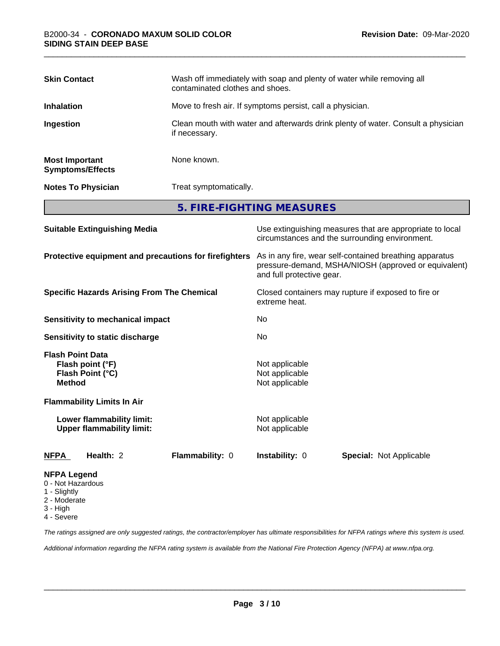| <b>Skin Contact</b>                              | Wash off immediately with soap and plenty of water while removing all<br>contaminated clothes and shoes. |
|--------------------------------------------------|----------------------------------------------------------------------------------------------------------|
| <b>Inhalation</b>                                | Move to fresh air. If symptoms persist, call a physician.                                                |
| Ingestion                                        | Clean mouth with water and afterwards drink plenty of water. Consult a physician<br>if necessary.        |
| <b>Most Important</b><br><b>Symptoms/Effects</b> | None known.                                                                                              |
| <b>Notes To Physician</b>                        | Treat symptomatically.                                                                                   |
|                                                  | 5. FIRE-FIGHTING MEASURES                                                                                |

| <b>Suitable Extinguishing Media</b>                                              | Use extinguishing measures that are appropriate to local<br>circumstances and the surrounding environment.                                   |  |  |
|----------------------------------------------------------------------------------|----------------------------------------------------------------------------------------------------------------------------------------------|--|--|
| Protective equipment and precautions for firefighters                            | As in any fire, wear self-contained breathing apparatus<br>pressure-demand, MSHA/NIOSH (approved or equivalent)<br>and full protective gear. |  |  |
| <b>Specific Hazards Arising From The Chemical</b>                                | Closed containers may rupture if exposed to fire or<br>extreme heat.                                                                         |  |  |
| Sensitivity to mechanical impact                                                 | No.                                                                                                                                          |  |  |
| Sensitivity to static discharge                                                  | No.                                                                                                                                          |  |  |
| <b>Flash Point Data</b><br>Flash point (°F)<br>Flash Point (°C)<br><b>Method</b> | Not applicable<br>Not applicable<br>Not applicable                                                                                           |  |  |
| <b>Flammability Limits In Air</b>                                                |                                                                                                                                              |  |  |
| Lower flammability limit:<br><b>Upper flammability limit:</b>                    | Not applicable<br>Not applicable                                                                                                             |  |  |
| Health: 2<br>Flammability: 0<br><u>NFPA</u>                                      | <b>Instability: 0</b><br><b>Special: Not Applicable</b>                                                                                      |  |  |
| <b>NFPA Legend</b><br>0 - Not Hazardous<br>1 - Slightly                          |                                                                                                                                              |  |  |

- 
- 2 Moderate
- 3 High
- 4 Severe

*The ratings assigned are only suggested ratings, the contractor/employer has ultimate responsibilities for NFPA ratings where this system is used.*

*Additional information regarding the NFPA rating system is available from the National Fire Protection Agency (NFPA) at www.nfpa.org.*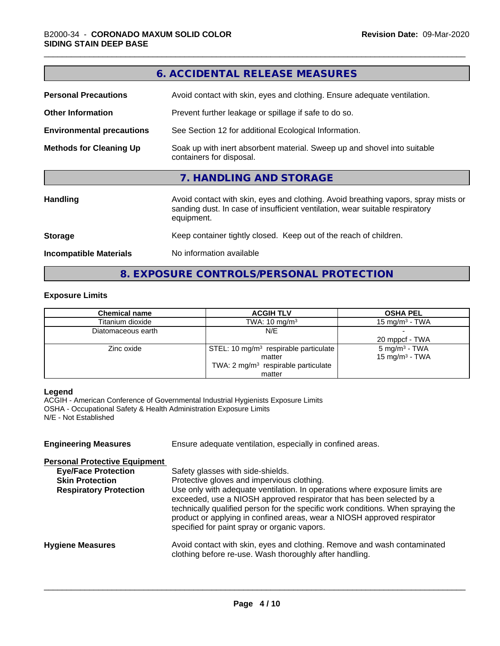|                                  | 6. ACCIDENTAL RELEASE MEASURES                                                                                                                                                   |  |  |
|----------------------------------|----------------------------------------------------------------------------------------------------------------------------------------------------------------------------------|--|--|
| <b>Personal Precautions</b>      | Avoid contact with skin, eyes and clothing. Ensure adequate ventilation.                                                                                                         |  |  |
| <b>Other Information</b>         | Prevent further leakage or spillage if safe to do so.                                                                                                                            |  |  |
| <b>Environmental precautions</b> | See Section 12 for additional Ecological Information.                                                                                                                            |  |  |
| <b>Methods for Cleaning Up</b>   | Soak up with inert absorbent material. Sweep up and shovel into suitable<br>containers for disposal.                                                                             |  |  |
|                                  | 7. HANDLING AND STORAGE                                                                                                                                                          |  |  |
| <b>Handling</b>                  | Avoid contact with skin, eyes and clothing. Avoid breathing vapors, spray mists or<br>sanding dust. In case of insufficient ventilation, wear suitable respiratory<br>equipment. |  |  |
| <b>Storage</b>                   | Keep container tightly closed. Keep out of the reach of children.                                                                                                                |  |  |
| <b>Incompatible Materials</b>    | No information available                                                                                                                                                         |  |  |
|                                  |                                                                                                                                                                                  |  |  |

# **8. EXPOSURE CONTROLS/PERSONAL PROTECTION**

# **Exposure Limits**

| <b>Chemical name</b> | <b>ACGIH TLV</b>                                  | <b>OSHA PEL</b>            |
|----------------------|---------------------------------------------------|----------------------------|
| Titanium dioxide     | TWA: $10 \text{ mg/m}^3$                          | 15 mg/m $3$ - TWA          |
| Diatomaceous earth   | N/E                                               |                            |
|                      |                                                   | 20 mppcf - TWA             |
| Zinc oxide           | STEL: 10 mg/m <sup>3</sup> respirable particulate | $5 \text{ mg/m}^3$ - TWA   |
|                      | matter                                            | 15 mg/m <sup>3</sup> - TWA |
|                      | TWA: 2 mg/m <sup>3</sup> respirable particulate   |                            |
|                      | matter                                            |                            |

## **Legend**

ACGIH - American Conference of Governmental Industrial Hygienists Exposure Limits OSHA - Occupational Safety & Health Administration Exposure Limits N/E - Not Established

| <b>Engineering Measures</b>          | Ensure adequate ventilation, especially in confined areas.                                                                                                                                                                                                                                                                                                          |  |  |
|--------------------------------------|---------------------------------------------------------------------------------------------------------------------------------------------------------------------------------------------------------------------------------------------------------------------------------------------------------------------------------------------------------------------|--|--|
| <b>Personal Protective Equipment</b> |                                                                                                                                                                                                                                                                                                                                                                     |  |  |
| <b>Eye/Face Protection</b>           | Safety glasses with side-shields.                                                                                                                                                                                                                                                                                                                                   |  |  |
| <b>Skin Protection</b>               | Protective gloves and impervious clothing.                                                                                                                                                                                                                                                                                                                          |  |  |
| <b>Respiratory Protection</b>        | Use only with adequate ventilation. In operations where exposure limits are<br>exceeded, use a NIOSH approved respirator that has been selected by a<br>technically qualified person for the specific work conditions. When spraying the<br>product or applying in confined areas, wear a NIOSH approved respirator<br>specified for paint spray or organic vapors. |  |  |
| <b>Hygiene Measures</b>              | Avoid contact with skin, eyes and clothing. Remove and wash contaminated<br>clothing before re-use. Wash thoroughly after handling.                                                                                                                                                                                                                                 |  |  |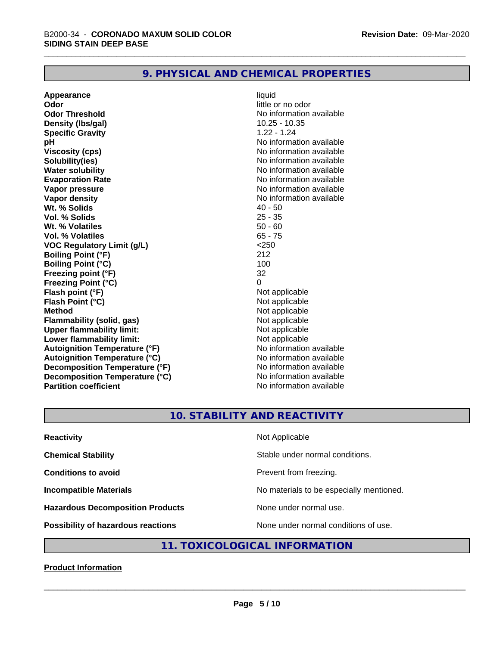# **9. PHYSICAL AND CHEMICAL PROPERTIES**

**Appearance** liquid **Odor** little or no odor **Odor Threshold No information available No information available Density (lbs/gal)** 10.25 - 10.35 **Specific Gravity** 1.22 - 1.24 **pH pH**  $\blacksquare$ **Viscosity (cps)** No information available **Solubility(ies)** No information available **Water solubility**<br> **Evaporation Rate**<br> **Evaporation Rate**<br> **Evaporation Rate Vapor pressure** No information available **Vapor density**<br> **We Solids** (*We Solids* ) and the setting of the setting of the setting of the setting of the setting of the setting of the setting of the setting of the setting of the setting of the setting of the setti **Wt. % Solids** 40 - 50<br> **Vol. % Solids** 25 - 35 **Vol. % Solids Wt.** % Volatiles 50 - 60 **Vol. % Volatiles** 65 - 75 **VOC Regulatory Limit (g/L)** <250 **Boiling Point (°F)** 212 **Boiling Point (°C)** 100 **Freezing point (°F)** 32 **Freezing Point (°C)** 0 **Flash point (°F)**<br> **Flash Point (°C)**<br> **Flash Point (°C)**<br> **Not** applicable **Flash Point (°C) Method**<br> **Flammability (solid, gas)**<br> **Example 2018** Not applicable **Flammability** (solid, gas) **Upper flammability limit:**<br> **Lower flammability limit:**<br>
Not applicable<br>
Not applicable **Lower flammability limit:**<br> **Autoignition Temperature (°F)** Not applicable have not available **Autoignition Temperature (°F) Autoignition Temperature (°C)** No information available **Decomposition Temperature (°F)** No information available **Decomposition Temperature (°C)** No information available **Partition coefficient Contract Community No information available** 

**Evaporation Rate** No information available

# **10. STABILITY AND REACTIVITY**

| <b>Reactivity</b>                         | Not Applicable                           |
|-------------------------------------------|------------------------------------------|
| <b>Chemical Stability</b>                 | Stable under normal conditions.          |
| <b>Conditions to avoid</b>                | Prevent from freezing.                   |
| <b>Incompatible Materials</b>             | No materials to be especially mentioned. |
| <b>Hazardous Decomposition Products</b>   | None under normal use.                   |
| <b>Possibility of hazardous reactions</b> | None under normal conditions of use.     |

# **11. TOXICOLOGICAL INFORMATION**

# **Product Information**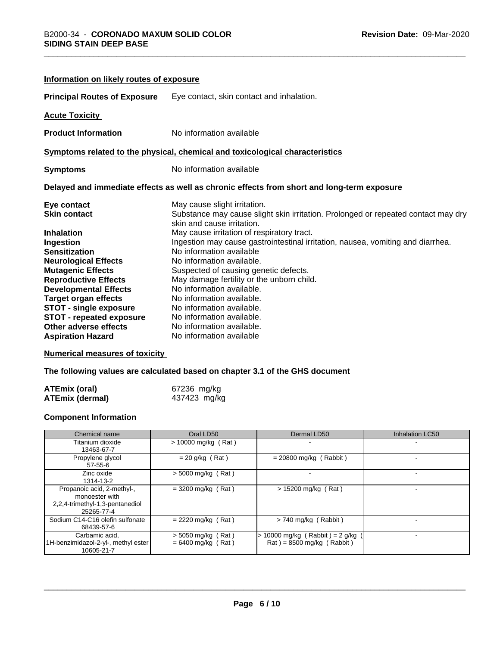| Information on likely routes of exposure                                     |                                                                                                                 |  |  |
|------------------------------------------------------------------------------|-----------------------------------------------------------------------------------------------------------------|--|--|
| <b>Principal Routes of Exposure</b>                                          | Eye contact, skin contact and inhalation.                                                                       |  |  |
| <b>Acute Toxicity</b>                                                        |                                                                                                                 |  |  |
| <b>Product Information</b>                                                   | No information available                                                                                        |  |  |
| Symptoms related to the physical, chemical and toxicological characteristics |                                                                                                                 |  |  |
| <b>Symptoms</b>                                                              | No information available                                                                                        |  |  |
|                                                                              | Delayed and immediate effects as well as chronic effects from short and long-term exposure                      |  |  |
| Eye contact                                                                  | May cause slight irritation.                                                                                    |  |  |
| <b>Skin contact</b>                                                          | Substance may cause slight skin irritation. Prolonged or repeated contact may dry<br>skin and cause irritation. |  |  |
| <b>Inhalation</b>                                                            | May cause irritation of respiratory tract.                                                                      |  |  |
| Ingestion                                                                    | Ingestion may cause gastrointestinal irritation, nausea, vomiting and diarrhea.                                 |  |  |
| <b>Sensitization</b>                                                         | No information available                                                                                        |  |  |
| <b>Neurological Effects</b>                                                  | No information available.                                                                                       |  |  |
| <b>Mutagenic Effects</b>                                                     | Suspected of causing genetic defects.                                                                           |  |  |
| <b>Reproductive Effects</b>                                                  | May damage fertility or the unborn child.                                                                       |  |  |
| <b>Developmental Effects</b>                                                 | No information available.                                                                                       |  |  |
| <b>Target organ effects</b>                                                  | No information available.                                                                                       |  |  |
| <b>STOT - single exposure</b>                                                | No information available.                                                                                       |  |  |
| <b>STOT - repeated exposure</b>                                              | No information available.                                                                                       |  |  |
| <b>Other adverse effects</b>                                                 | No information available.                                                                                       |  |  |
| <b>Aspiration Hazard</b>                                                     | No information available                                                                                        |  |  |

# **Numerical measures of toxicity**

**The following values are calculated based on chapter 3.1 of the GHS document**

| <b>ATEmix (oral)</b> | 67236 mg/kg  |
|----------------------|--------------|
| ATEmix (dermal)      | 437423 mg/kg |

# **Component Information**

| Chemical name                                                                                 | Oral LD50                                    | Dermal LD50                                                                        | Inhalation LC50 |
|-----------------------------------------------------------------------------------------------|----------------------------------------------|------------------------------------------------------------------------------------|-----------------|
| Titanium dioxide<br>13463-67-7                                                                | $> 10000$ mg/kg (Rat)                        |                                                                                    |                 |
| Propylene glycol<br>$57 - 55 - 6$                                                             | $= 20$ g/kg (Rat)                            | $= 20800$ mg/kg (Rabbit)                                                           |                 |
| Zinc oxide<br>1314-13-2                                                                       | $>$ 5000 mg/kg (Rat)                         |                                                                                    |                 |
| Propanoic acid, 2-methyl-,<br>monoester with<br>2,2,4-trimethyl-1,3-pentanediol<br>25265-77-4 | $=$ 3200 mg/kg (Rat)                         | $> 15200$ mg/kg (Rat)                                                              |                 |
| Sodium C14-C16 olefin sulfonate<br>68439-57-6                                                 | $= 2220$ mg/kg (Rat)                         | > 740 mg/kg (Rabbit)                                                               |                 |
| Carbamic acid,<br>1H-benzimidazol-2-yl-, methyl ester<br>10605-21-7                           | $>$ 5050 mg/kg (Rat)<br>$= 6400$ mg/kg (Rat) | 10000 mg/kg (Rabbit) = $2$ g/kg<br>$\text{Rat}$ ) = 8500 mg/kg ( $\text{Rabbit}$ ) |                 |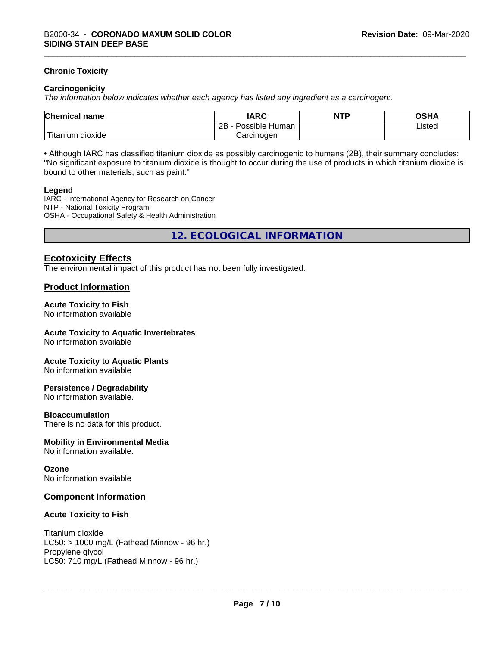# **Chronic Toxicity**

## **Carcinogenicity**

*The information below indicateswhether each agency has listed any ingredient as a carcinogen:.*

| <b>Chemical</b><br>name    | <b>IARC</b>                    | <b>NTP</b> | OSHA   |
|----------------------------|--------------------------------|------------|--------|
|                            | . .<br>2B<br>Human<br>Possible |            | Listed |
| .<br>. dioxide<br>⊺itanium | Carcinogen                     |            |        |

• Although IARC has classified titanium dioxide as possibly carcinogenic to humans (2B), their summary concludes: "No significant exposure to titanium dioxide is thought to occur during the use of products in which titanium dioxide is bound to other materials, such as paint."

#### **Legend**

IARC - International Agency for Research on Cancer NTP - National Toxicity Program OSHA - Occupational Safety & Health Administration

**12. ECOLOGICAL INFORMATION**

# **Ecotoxicity Effects**

The environmental impact of this product has not been fully investigated.

# **Product Information**

# **Acute Toxicity to Fish**

No information available

## **Acute Toxicity to Aquatic Invertebrates**

No information available

## **Acute Toxicity to Aquatic Plants**

No information available

## **Persistence / Degradability**

No information available.

## **Bioaccumulation**

There is no data for this product.

## **Mobility in Environmental Media**

No information available.

## **Ozone**

No information available

# **Component Information**

## **Acute Toxicity to Fish**

Titanium dioxide  $LC50:$  > 1000 mg/L (Fathead Minnow - 96 hr.) Propylene glycol \_\_\_\_\_\_\_\_\_\_\_\_\_\_\_\_\_\_\_\_\_\_\_\_\_\_\_\_\_\_\_\_\_\_\_\_\_\_\_\_\_\_\_\_\_\_\_\_\_\_\_\_\_\_\_\_\_\_\_\_\_\_\_\_\_\_\_\_\_\_\_\_\_\_\_\_\_\_\_\_\_\_\_\_\_\_\_\_\_\_\_\_\_ LC50: 710 mg/L (Fathead Minnow - 96 hr.)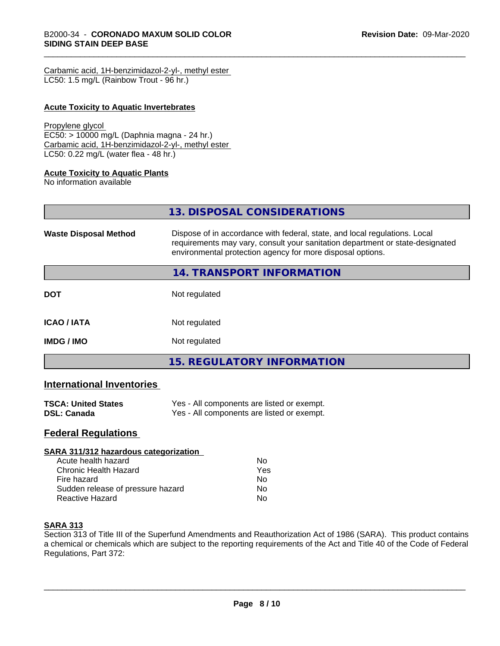| Carbamic acid, 1H-benzimidazol-2-yl-, methyl ester |  |
|----------------------------------------------------|--|
| LC50: 1.5 mg/L (Rainbow Trout - 96 hr.)            |  |

# **Acute Toxicity to Aquatic Invertebrates**

#### Propylene glycol

EC50: > 10000 mg/L (Daphnia magna - 24 hr.) Carbamic acid, 1H-benzimidazol-2-yl-, methyl ester LC50: 0.22 mg/L (water flea - 48 hr.)

## **Acute Toxicity to Aquatic Plants**

No information available

| 13. DISPOSAL CONSIDERATIONS                                                                                                                                                                                               |
|---------------------------------------------------------------------------------------------------------------------------------------------------------------------------------------------------------------------------|
| Dispose of in accordance with federal, state, and local regulations. Local<br>requirements may vary, consult your sanitation department or state-designated<br>environmental protection agency for more disposal options. |
| <b>14. TRANSPORT INFORMATION</b>                                                                                                                                                                                          |
| Not regulated                                                                                                                                                                                                             |
| Not regulated                                                                                                                                                                                                             |
| Not regulated                                                                                                                                                                                                             |
| <b>15. REGULATORY INFORMATION</b>                                                                                                                                                                                         |
|                                                                                                                                                                                                                           |

# **International Inventories**

| <b>TSCA: United States</b> | Yes - All components are listed or exempt. |
|----------------------------|--------------------------------------------|
| <b>DSL: Canada</b>         | Yes - All components are listed or exempt. |

# **Federal Regulations**

| SARA 311/312 hazardous categorization |     |  |
|---------------------------------------|-----|--|
| Acute health hazard                   | Nο  |  |
| Chronic Health Hazard                 | Yes |  |
| Fire hazard                           | Nο  |  |
| Sudden release of pressure hazard     | Nο  |  |
| <b>Reactive Hazard</b>                | No  |  |

# **SARA 313**

Section 313 of Title III of the Superfund Amendments and Reauthorization Act of 1986 (SARA). This product contains a chemical or chemicals which are subject to the reporting requirements of the Act and Title 40 of the Code of Federal Regulations, Part 372: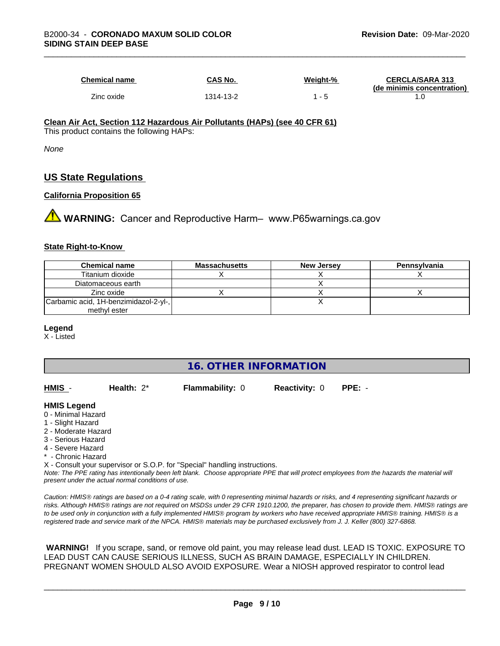| <b>Chemical name</b> | CAS No.   | Weiaht-% | <b>CERCLA/SARA 313</b><br>(de minimis concentration) |
|----------------------|-----------|----------|------------------------------------------------------|
| Zinc oxide           | 1314-13-2 |          | . .U                                                 |

#### **Clean Air Act,Section 112 Hazardous Air Pollutants (HAPs) (see 40 CFR 61)** This product contains the following HAPs:

*None*

# **US State Regulations**

## **California Proposition 65**

**AVIMARNING:** Cancer and Reproductive Harm– www.P65warnings.ca.gov

## **State Right-to-Know**

| <b>Chemical name</b>                  | <b>Massachusetts</b> | <b>New Jersey</b> | Pennsylvania |
|---------------------------------------|----------------------|-------------------|--------------|
| Titanium dioxide                      |                      |                   |              |
| Diatomaceous earth                    |                      |                   |              |
| Zinc oxide                            |                      |                   |              |
| Carbamic acid, 1H-benzimidazol-2-yl-, |                      |                   |              |
| methyl ester                          |                      |                   |              |

## **Legend**

X - Listed

# **16. OTHER INFORMATION**

| HMIS | Health: $2^*$ | <b>Flammability: 0</b> | <b>Reactivity: 0</b> | PPE: - |
|------|---------------|------------------------|----------------------|--------|
|      |               |                        |                      |        |

## **HMIS Legend**

- 0 Minimal Hazard
- 1 Slight Hazard
- 2 Moderate Hazard
- 3 Serious Hazard
- 4 Severe Hazard
- Chronic Hazard
- X Consult your supervisor or S.O.P. for "Special" handling instructions.

*Note: The PPE rating has intentionally been left blank. Choose appropriate PPE that will protect employees from the hazards the material will present under the actual normal conditions of use.*

*Caution: HMISÒ ratings are based on a 0-4 rating scale, with 0 representing minimal hazards or risks, and 4 representing significant hazards or risks. Although HMISÒ ratings are not required on MSDSs under 29 CFR 1910.1200, the preparer, has chosen to provide them. HMISÒ ratings are to be used only in conjunction with a fully implemented HMISÒ program by workers who have received appropriate HMISÒ training. HMISÒ is a registered trade and service mark of the NPCA. HMISÒ materials may be purchased exclusively from J. J. Keller (800) 327-6868.*

 **WARNING!** If you scrape, sand, or remove old paint, you may release lead dust. LEAD IS TOXIC. EXPOSURE TO LEAD DUST CAN CAUSE SERIOUS ILLNESS, SUCH AS BRAIN DAMAGE, ESPECIALLY IN CHILDREN. PREGNANT WOMEN SHOULD ALSO AVOID EXPOSURE.Wear a NIOSH approved respirator to control lead